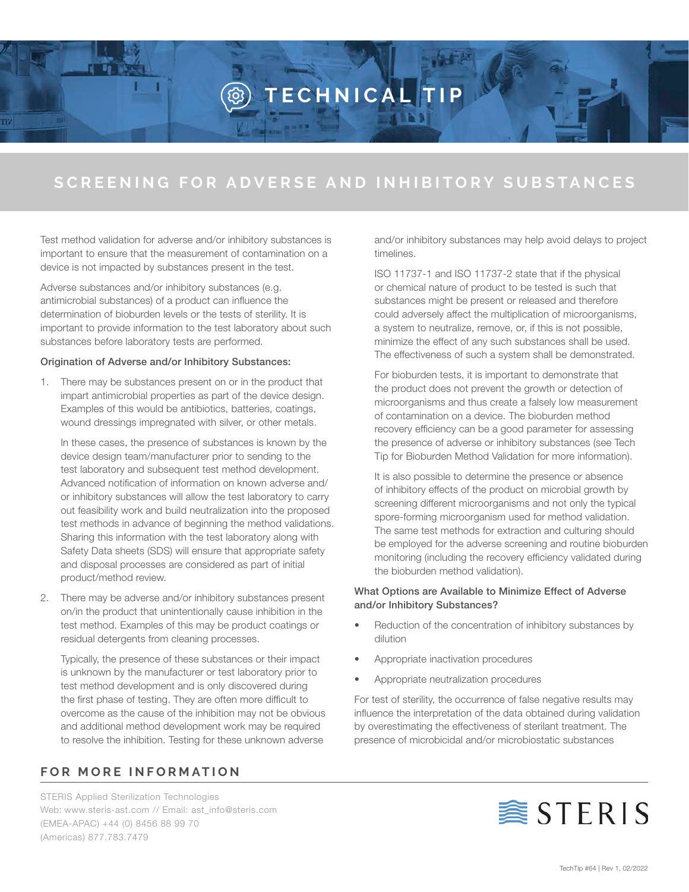# **TECHNICAL TIP**

## **SCREENING FOR ADVERSE AND INHIBITORY SUBSTANCES**

Test method validation for adverse and/or inhibitory substances is important to ensure that the measurement of contamination on a device is not impacted by substances present in the test.

Adverse substances and/or inhibitory substances (e.g. antimicrobial substances) of a product can influence the determination of bioburden levels or the tests of sterility. It is important to provide information to the test laboratory about such substances before laboratory tests are performed.

#### Origination of Adverse and/or Inhibitory Substances:

1. There may be substances present on or in the product that impart antimicrobial properties as part of the device design. Examples of this would be antibiotics, batteries, coatings, wound dressings impregnated with silver, or other metals.

In these cases, the presence of substances is known by the device design team/manufacturer prior to sending to the test laboratory and subsequent test method development. Advanced notification of information on known adverse and/ or inhibitory substances will allow the test laboratory to carry out feasibility work and build neutralization into the proposed test methods in advance of beginning the method validations. Sharing this information with the test laboratory along with Safety Data sheets (SDS) will ensure that appropriate safety and disposal processes are considered as part of initial product/method review.

2. There may be adverse and/or inhibitory substances present on/in the product that unintentionally cause inhibition in the test method. Examples of this may be product coatings or residual detergents from cleaning processes.

Typically, the presence of these substances or their impact is unknown by the manufacturer or test laboratory prior to test method development and is only discovered during the first phase of testing. They are often more difficult to overcome as the cause of the inhibition may not be obvious and additional method development work may be required to resolve the inhibition. Testing for these unknown adverse

### **FOR MORE INFORMATION**

STERIS Applied Sterilization Technologies Web: www.steris-ast.com // Email: ast\_info@steris.com (EMEA-APAC) +44 (0) 8456 88 99 70 (Americas) 877.783.7479

and/or inhibitory substances may help avoid delays to project timelines.

ISO 11737-1 and ISO 11737-2 state that if the physical or chemical nature of product to be tested is such that substances might be present or released and therefore could adversely affect the multiplication of microorganisms, a system to neutralize, remove, or, if this is not possible, minimize the effect of any such substances shall be used. The effectiveness of such a system shall be demonstrated.

For bioburden tests, it is important to demonstrate that the product does not prevent the growth or detection of microorganisms and thus create a falsely low measurement of contamination on a device. The bioburden method recovery efficiency can be a good parameter for assessing the presence of adverse or inhibitory substances (see Tech Tip for Bioburden Method Validation for more information).

It is also possible to determine the presence or absence of inhibitory effects of the product on microbial growth by screening different microorganisms and not only the typical spore-forming microorganism used for method validation. The same test methods for extraction and culturing should be employed for the adverse screening and routine bioburden monitoring (including the recovery efficiency validated during the bioburden method validation).

#### What Options are Available to Minimize Effect of Adverse and/or Inhibitory Substances?

- Reduction of the concentration of inhibitory substances by dilution
- Appropriate inactivation procedures
- Appropriate neutralization procedures

For test of sterility, the occurrence of false negative results may influence the interpretation of the data obtained during validation by overestimating the effectiveness of sterilant treatment. The presence of microbicidal and/or microbiostatic substances